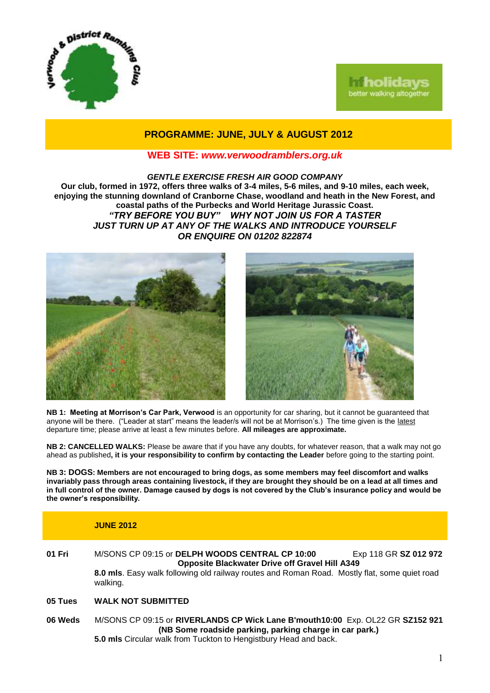



# **PROGRAMME: JUNE, JULY & AUGUST 2012**

## **WEB SITE:** *[www.verwoodramblers.org.uk](http://www.verwoodramblers.org.uk/)*

*GENTLE EXERCISE FRESH AIR GOOD COMPANY* **Our club, formed in 1972, offers three walks of 3-4 miles, 5-6 miles, and 9-10 miles, each week, enjoying the stunning downland of Cranborne Chase, woodland and heath in the New Forest, and coastal paths of the Purbecks and World Heritage Jurassic Coast.** *"TRY BEFORE YOU BUY" WHY NOT JOIN US FOR A TASTER JUST TURN UP AT ANY OF THE WALKS AND INTRODUCE YOURSELF OR ENQUIRE ON 01202 822874*





**NB 1: Meeting at Morrison's Car Park, Verwood** is an opportunity for car sharing, but it cannot be guaranteed that anyone will be there. ("Leader at start" means the leader/s will not be at Morrison's.) The time given is the latest departure time; please arrive at least a few minutes before. **All mileages are approximate.**

**NB 2: CANCELLED WALKS:** Please be aware that if you have any doubts, for whatever reason, that a walk may not go ahead as published**, it is your responsibility to confirm by contacting the Leader** before going to the starting point.

**NB 3: DOGS: Members are not encouraged to bring dogs, as some members may feel discomfort and walks invariably pass through areas containing livestock, if they are brought they should be on a lead at all times and in full control of the owner. Damage caused by dogs is not covered by the Club's insurance policy and would be the owner's responsibility.**

### **JUNE 2012**

- **01 Fri** M/SONS CP 09:15 or **DELPH WOODS CENTRAL CP 10:00** Exp 118 GR **SZ 012 972 Opposite Blackwater Drive off Gravel Hill A349 8.0 mls**. Easy walk following old railway routes and Roman Road. Mostly flat, some quiet road walking.
- **05 Tues WALK NOT SUBMITTED**
- **06 Weds** M/SONS CP 09:15 or **RIVERLANDS CP Wick Lane B'mouth10:00** Exp. OL22 GR **SZ152 921 (NB Some roadside parking, parking charge in car park.) 5.0 mls** Circular walk from Tuckton to Hengistbury Head and back.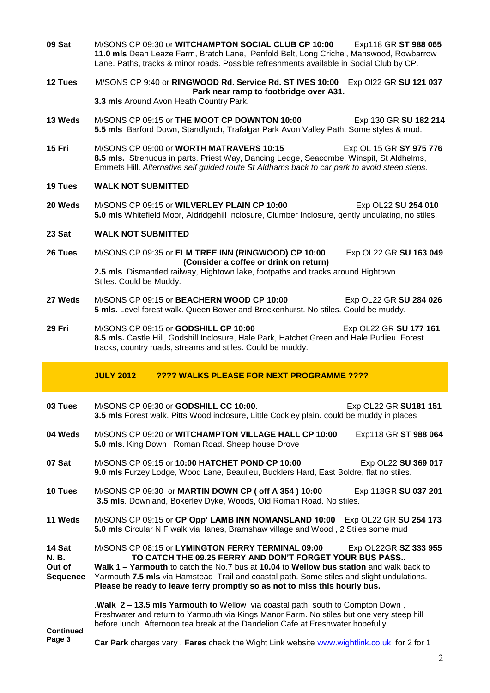- **09 Sat** M/SONS CP 09:30 or **WITCHAMPTON SOCIAL CLUB CP 10:00** Exp118 GR **ST 988 065 11.0 mls** Dean Leaze Farm, Bratch Lane, Penfold Belt, Long Crichel, Manswood, Rowbarrow Lane. Paths, tracks & minor roads. Possible refreshments available in Social Club by CP.
- **12 Tues** M/SONS CP 9:40 or **RINGWOOD Rd. Service Rd. ST IVES 10:00** Exp Ol22 GR **SU 121 037 Park near ramp to footbridge over A31.**

**3.3 mls** Around Avon Heath Country Park.

- **13 Weds** M/SONS CP 09:15 or **THE MOOT CP DOWNTON 10:00** Exp 130 GR SU 182 214 **5.5 mls** Barford Down, Standlynch, Trafalgar Park Avon Valley Path. Some styles & mud.
- **15 Fri** M/SONS CP 09:00 or **WORTH MATRAVERS 10:15** Exp OL 15 GR **SY 975 776 8.5 mls.** Strenuous in parts. Priest Way, Dancing Ledge, Seacombe, Winspit, St Aldhelms, Emmets Hill. *Alternative self guided route St Aldhams back to car park to avoid steep steps.*
- **19 Tues WALK NOT SUBMITTED**
- **20 Weds** M/SONS CP 09:15 or **WILVERLEY PLAIN CP 10:00** Exp OL22 **SU 254 010 5.0 mls** Whitefield Moor, Aldridgehill Inclosure, Clumber Inclosure, gently undulating, no stiles.

### **23 Sat WALK NOT SUBMITTED**

- **26 Tues** M/SONS CP 09:35 or **ELM TREE INN (RINGWOOD) CP 10:00** Exp OL22 GR **SU 163 049 (Consider a coffee or drink on return) 2.5 mls**. Dismantled railway, Hightown lake, footpaths and tracks around Hightown. Stiles. Could be Muddy.
- **27 Weds** M/SONS CP 09:15 or **BEACHERN WOOD CP 10:00** Exp OL22 GR **SU 284 026 5 mls.** Level forest walk. Queen Bower and Brockenhurst. No stiles. Could be muddy.
- **29 Fri** M/SONS CP 09:15 or **GODSHILL CP 10:00** Exp OL22 GR **SU 177 161 8.5 mls.** Castle Hill, Godshill Inclosure, Hale Park, Hatchet Green and Hale Purlieu. Forest tracks, country roads, streams and stiles. Could be muddy.

### **JULY 2012 ???? WALKS PLEASE FOR NEXT PROGRAMME ????**

- **03 Tues M/SONS CP 09:30 or GODSHILL CC 10:00.** Exp OL22 GR SU181 151 **3.5 mls** Forest walk, Pitts Wood inclosure, Little Cockley plain. could be muddy in places **04 Weds** M/SONS CP 09:20 or **WITCHAMPTON VILLAGE HALL CP 10:00** Exp118 GR **ST 988 064 5.0 mls**. King Down Roman Road. Sheep house Drove
- **07 Sat M/SONS CP 09:15 or 10:00 HATCHET POND CP 10:00** Exp OL22 SU 369 017 **9.0 mls** Furzey Lodge, Wood Lane, Beaulieu, Bucklers Hard, East Boldre, flat no stiles.
- **10 Tues** M/SONS CP 09:30 or **MARTIN DOWN CP ( off A 354 ) 10:00** Exp 118GR **SU 037 201 3.5 mls**. Downland, Bokerley Dyke, Woods, Old Roman Road. No stiles.
- **11 Weds** M/SONS CP 09:15 or **CP Opp' LAMB INN NOMANSLAND 10:00** Exp OL22 GR **SU 254 173 5.0 mls** Circular N F walk via lanes, Bramshaw village and Wood , 2 Stiles some mud

**14 Sat N. B. Out of Sequence** M/SONS CP 08:15 or **LYMINGTON FERRY TERMINAL 09:00** Exp OL22GR **SZ 333 955 TO CATCH THE 09.25 FERRY AND DON'T FORGET YOUR BUS PASS.. Walk 1 – Yarmouth** to catch the No.7 bus at **10.04** to **Wellow bus station** and walk back to Yarmouth **7.5 mls** via Hamstead Trail and coastal path. Some stiles and slight undulations. **Please be ready to leave ferry promptly so as not to miss this hourly bus.**

**Continued Page 3** .**Walk 2 – 13.5 mls Yarmouth to** Wellow via coastal path, south to Compton Down , Freshwater and return to Yarmouth via Kings Manor Farm. No stiles but one very steep hill before lunch. Afternoon tea break at the Dandelion Cafe at Freshwater hopefully.

**Car Park** charges vary . **Fares** check the Wight Link website [www.wightlink.co.uk](http://www.wightlink.co.uk/) for 2 for 1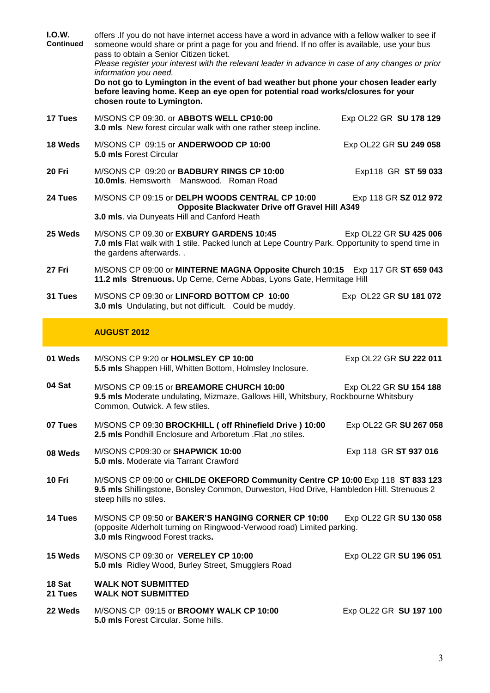| I.O.W.<br><b>Continued</b> | offers .If you do not have internet access have a word in advance with a fellow walker to see if<br>someone would share or print a page for you and friend. If no offer is available, use your bus<br>pass to obtain a Senior Citizen ticket.<br>Please register your interest with the relevant leader in advance in case of any changes or prior<br>information you need.<br>Do not go to Lymington in the event of bad weather but phone your chosen leader early<br>before leaving home. Keep an eye open for potential road works/closures for your<br>chosen route to Lymington. |                        |
|----------------------------|----------------------------------------------------------------------------------------------------------------------------------------------------------------------------------------------------------------------------------------------------------------------------------------------------------------------------------------------------------------------------------------------------------------------------------------------------------------------------------------------------------------------------------------------------------------------------------------|------------------------|
| 17 Tues                    | M/SONS CP 09:30. or ABBOTS WELL CP10:00<br>3.0 mls New forest circular walk with one rather steep incline.                                                                                                                                                                                                                                                                                                                                                                                                                                                                             | Exp OL22 GR SU 178 129 |
| 18 Weds                    | M/SONS CP 09:15 or ANDERWOOD CP 10:00<br><b>5.0 mls Forest Circular</b>                                                                                                                                                                                                                                                                                                                                                                                                                                                                                                                | Exp OL22 GR SU 249 058 |
| 20 Fri                     | M/SONS CP 09:20 or <b>BADBURY RINGS CP 10:00</b><br>10.0mls. Hemsworth Manswood. Roman Road                                                                                                                                                                                                                                                                                                                                                                                                                                                                                            | Exp118 GR ST 59 033    |
| 24 Tues                    | M/SONS CP 09:15 or DELPH WOODS CENTRAL CP 10:00<br><b>Opposite Blackwater Drive off Gravel Hill A349</b><br>3.0 mls. via Dunyeats Hill and Canford Heath                                                                                                                                                                                                                                                                                                                                                                                                                               | Exp 118 GR SZ 012 972  |
| 25 Weds                    | M/SONS CP 09.30 or EXBURY GARDENS 10:45<br>7.0 mls Flat walk with 1 stile. Packed lunch at Lepe Country Park. Opportunity to spend time in<br>the gardens afterwards                                                                                                                                                                                                                                                                                                                                                                                                                   | Exp OL22 GR SU 425 006 |
| 27 Fri                     | M/SONS CP 09:00 or MINTERNE MAGNA Opposite Church 10:15 Exp 117 GR ST 659 043<br>11.2 mls Strenuous. Up Cerne, Cerne Abbas, Lyons Gate, Hermitage Hill                                                                                                                                                                                                                                                                                                                                                                                                                                 |                        |
| 31 Tues                    | M/SONS CP 09:30 or LINFORD BOTTOM CP 10:00<br>3.0 mls Undulating, but not difficult. Could be muddy.                                                                                                                                                                                                                                                                                                                                                                                                                                                                                   | Exp OL22 GR SU 181 072 |
|                            |                                                                                                                                                                                                                                                                                                                                                                                                                                                                                                                                                                                        |                        |
|                            | <b>AUGUST 2012</b>                                                                                                                                                                                                                                                                                                                                                                                                                                                                                                                                                                     |                        |
| 01 Weds                    | M/SONS CP 9:20 or HOLMSLEY CP 10:00<br>5.5 mls Shappen Hill, Whitten Bottom, Holmsley Inclosure.                                                                                                                                                                                                                                                                                                                                                                                                                                                                                       | Exp OL22 GR SU 222 011 |
| 04 Sat                     | M/SONS CP 09:15 or BREAMORE CHURCH 10:00<br>9.5 mls Moderate undulating, Mizmaze, Gallows Hill, Whitsbury, Rockbourne Whitsbury<br>Common, Outwick. A few stiles.                                                                                                                                                                                                                                                                                                                                                                                                                      | Exp OL22 GR SU 154 188 |
| 07 Tues                    | M/SONS CP 09:30 BROCKHILL ( off Rhinefield Drive ) 10:00<br>2.5 mls Pondhill Enclosure and Arboretum .Flat ,no stiles.                                                                                                                                                                                                                                                                                                                                                                                                                                                                 | Exp OL22 GR SU 267 058 |
| 08 Weds                    | M/SONS CP09:30 or SHAPWICK 10:00<br><b>5.0 mls.</b> Moderate via Tarrant Crawford                                                                                                                                                                                                                                                                                                                                                                                                                                                                                                      | Exp 118 GR ST 937 016  |
| 10 Fri                     | M/SONS CP 09:00 or CHILDE OKEFORD Community Centre CP 10:00 Exp 118 ST 833 123<br>9.5 mls Shillingstone, Bonsley Common, Durweston, Hod Drive, Hambledon Hill. Strenuous 2<br>steep hills no stiles.                                                                                                                                                                                                                                                                                                                                                                                   |                        |
| 14 Tues                    | M/SONS CP 09:50 or BAKER'S HANGING CORNER CP 10:00<br>(opposite Alderholt turning on Ringwood-Verwood road) Limited parking.<br>3.0 mls Ringwood Forest tracks.                                                                                                                                                                                                                                                                                                                                                                                                                        | Exp OL22 GR SU 130 058 |
| 15 Weds                    | M/SONS CP 09:30 or VERELEY CP 10:00<br>5.0 mls Ridley Wood, Burley Street, Smugglers Road                                                                                                                                                                                                                                                                                                                                                                                                                                                                                              | Exp OL22 GR SU 196 051 |
| 18 Sat<br>21 Tues          | <b>WALK NOT SUBMITTED</b><br><b>WALK NOT SUBMITTED</b>                                                                                                                                                                                                                                                                                                                                                                                                                                                                                                                                 |                        |